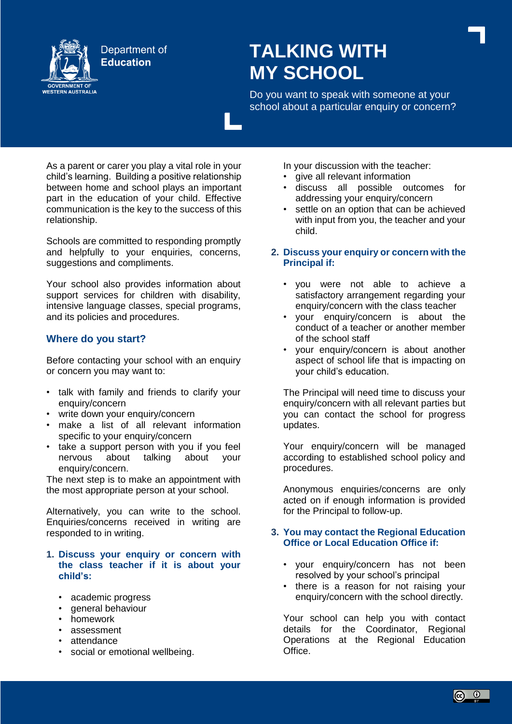

# **TALKING WITH MY SCHOOL**

Do you want to speak with someone at your school about a particular enquiry or concern?

As a parent or carer you play a vital role in your child's learning. Building a positive relationship between home and school plays an important part in the education of your child. Effective communication is the key to the success of this relationship.

Schools are committed to responding promptly and helpfully to your enquiries, concerns, suggestions and compliments.

Your school also provides information about support services for children with disability, intensive language classes, special programs, and its policies and procedures.

# **Where do you start?**

Before contacting your school with an enquiry or concern you may want to:

- talk with family and friends to clarify your enquiry/concern
- write down your enquiry/concern
- make a list of all relevant information specific to your enquiry/concern
- take a support person with you if you feel nervous about talking about your enquiry/concern.

The next step is to make an appointment with the most appropriate person at your school.

Alternatively, you can write to the school. Enquiries/concerns received in writing are responded to in writing.

## **1. Discuss your enquiry or concern with the class teacher if it is about your child's:**

- academic progress
- general behaviour
- homework
- assessment
- attendance
- social or emotional wellbeing.

In your discussion with the teacher:

- give all relevant information
- discuss all possible outcomes for addressing your enquiry/concern
- settle on an option that can be achieved with input from you, the teacher and your child.
- **2. Discuss your enquiry or concern with the Principal if:**
	- you were not able to achieve a satisfactory arrangement regarding your enquiry/concern with the class teacher
	- your enquiry/concern is about the conduct of a teacher or another member of the school staff
	- your enquiry/concern is about another aspect of school life that is impacting on your child's education.

The Principal will need time to discuss your enquiry/concern with all relevant parties but you can contact the school for progress updates.

Your enquiry/concern will be managed according to established school policy and procedures.

Anonymous enquiries/concerns are only acted on if enough information is provided for the Principal to follow-up.

# **3. You may contact the Regional Education Office or Local Education Office if:**

- your enquiry/concern has not been resolved by your school's principal
- there is a reason for not raising your enquiry/concern with the school directly.

Your school can help you with contact details for the Coordinator, Regional Operations at the Regional Education Office.